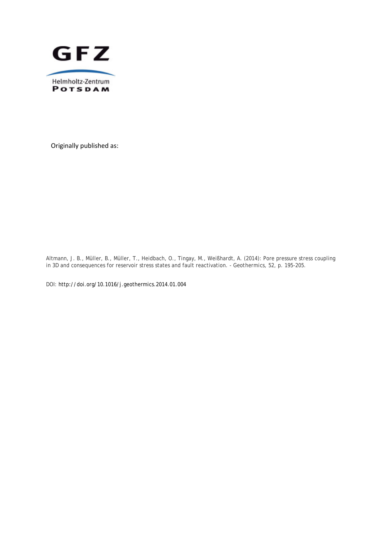

Originally published as:

Altmann, J. B., Müller, B., Müller, T., Heidbach, O., Tingay, M., Weißhardt, A. (2014): Pore pressure stress coupling in 3D and consequences for reservoir stress states and fault reactivation. *- Geothermics*, *52*, p. 195-205.

DOI: http://doi.org/10.1016/j.geothermics.2014.01.004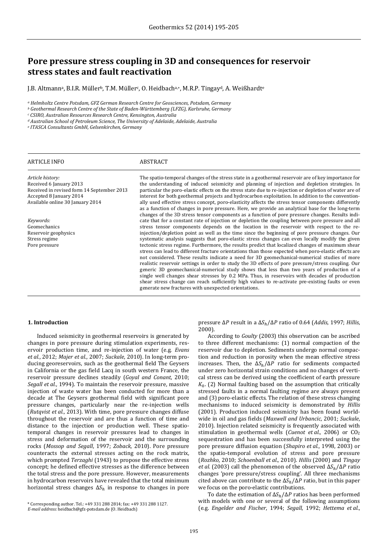# **Pore pressure stress coupling in 3D and consequences for reservoir stress states and fault reactivation**

J.B. Altmann<sup>a</sup>, B.I.R. Müller<sup>b</sup>, T.M. Müller<sup>c</sup>, O. Heidbach<sup>a,∗</sup>, M.R.P. Tingay<sup>d</sup>, A. Weißhardt<sup>e</sup>

*<sup>a</sup> Helmholtz Centre Potsdam, GFZ German Research Centre for Geosciences, Potsdam, Germany*

*<sup>b</sup> Geothermal Research Centre of the State of Baden‐Württemberg (LFZG), Karlsruhe, Germany*

*<sup>c</sup> CSIRO, Australian Resources Research Centre, Kensington, Australia*

*<sup>d</sup> Australian School of Petroleum Science, The University of Adelaide, Adelaide, Australia*

*<sup>e</sup> ITASCA Consultants GmbH, Gelsenkirchen, Germany*

| <b>ARTICLE INFO</b>                        | ABSTRACT                                                                                                                                                                                                 |
|--------------------------------------------|----------------------------------------------------------------------------------------------------------------------------------------------------------------------------------------------------------|
| Article history:                           | The spatio-temporal changes of the stress state in a geothermal reservoir are of key importance for                                                                                                      |
| Received 6 January 2013                    | the understanding of induced seismicity and planning of injection and depletion strategies. In                                                                                                           |
| Received in revised form 14 September 2013 | particular the poro-elastic effects on the stress state due to re-injection or depletion of water are of                                                                                                 |
| Accepted 8 January 2014                    | interest for both geothermal projects and hydrocarbon exploitation. In addition to the convention-                                                                                                       |
| Available online 30 January 2014           | ally used effective stress concept, poro-elasticity affects the stress tensor components differently                                                                                                     |
|                                            | as a function of changes in pore pressure. Here, we provide an analytical base for the long-term                                                                                                         |
|                                            | changes of the 3D stress tensor components as a function of pore pressure changes. Results indi-                                                                                                         |
| Keywords:                                  | cate that for a constant rate of injection or depletion the coupling between pore pressure and all                                                                                                       |
| Geomechanics                               | stress tensor components depends on the location in the reservoir with respect to the re-                                                                                                                |
| Reservoir geophysics                       | injection/depletion point as well as the time since the beginning of pore pressure changes. Our                                                                                                          |
| Stress regime                              | systematic analysis suggests that poro-elastic stress changes can even locally modify the given                                                                                                          |
| Pore pressure                              | tectonic stress regime. Furthermore, the results predict that localized changes of maximum shear<br>stress can lead to different fracture orientations than those expected when poro-elastic effects are |
|                                            | not considered. These results indicate a need for 3D geomechanical-numerical studies of more                                                                                                             |
|                                            | realistic reservoir settings in order to study the 3D effects of pore pressure/stress coupling. Our                                                                                                      |
|                                            | generic 3D geomechanical-numerical study shows that less than two years of production of a                                                                                                               |
|                                            | single well changes shear stresses by 0.2 MPa. Thus, in reservoirs with decades of production                                                                                                            |
|                                            | shear stress change can reach sufficiently high values to re-activate pre-existing faults or even                                                                                                        |
|                                            | generate new fractures with unexpected orientations.                                                                                                                                                     |

## **1. Introduction**

Induced seismicity in geothermal reservoirs is generated by changes in pore pressure during stimulation experiments, reservoir production time, and re-injection of water (e.g. *Evans et al.*, 2012; *Majer et al.*, 2007; *Suckale*, 2010). In long-term producing georeservoirs, such as the geothermal field The Geysers in California or the gas field Lacq in south western France, the reservoir pressure declines steadily (*Goyal and Conant*, 2010; *Segall et al.*, 1994). To maintain the reservoir pressure, massive injection of waste water has been conducted for more than a decade at The Geysers geothermal field with significant pore pressure changes, particularly near the re-injection wells (*Rutqvist et al.*, 2013). With time, pore pressure changes diffuse throughout the reservoir and are thus a function of time and distance to the injection or production well. These spatiotemporal changes in reservoir pressures lead to changes in stress and deformation of the reservoir and the surrounding rocks (Mossop and Segall, 1997; Zoback, 2010). Pore pressure counteracts the external stresses acting on the rock matrix, which prompted *Terzaghi* (1943) to propose the effective stress concept; he defined effective stresses as the difference between the total stress and the pore pressure. However, measurements in hydrocarbon reservoirs have revealed that the total minimum horizontal stress changes  $\Delta S_h$  in response to changes in pore

pressure ΔP result in a  $\Delta S_h/\Delta P$  ratio of 0.64 (*Addis*, 1997; *Hillis*, 2000). 

According to *Goulty* (2003) this observation can be ascribed to three different mechanisms:  $(1)$  normal compaction of the reservoir due to depletion. Sediments undergo normal compaction and reduction in porosity when the mean effective stress increases. Then, the  $\Delta S_h/\Delta P$  ratio for sediments compacted under zero horizontal strain conditions and no changes of vertical stress can be derived using the coefficient of earth pressure  $K<sub>0</sub>$ . (2) Normal faulting based on the assumption that critically stressed faults in a normal faulting regime are always present and (3) poro-elastic effects. The relation of these stress changing mechanisms to induced seismicity is demonstrated by *Hillis* (2001). Production induced seismicity has been found worldwide in oil and gas fields (Maxwell and Urbancic, 2001; Suckale, 2010). Injection related seismicity is frequently associated with stimulation in geothermal wells (*Cuenot et al.*, 2006) or CO<sub>2</sub> sequestration and has been successfully interpreted using the pore pressure diffusion equation (*Shapiro et al.*, 1998, 2003) or the spatio-temporal evolution of stress and pore pressure (*Rozhko*, 2010; *Schoenball et al.*, 2010). *Hillis* (2000) and *Tingay et al.* (2003) call the phenomenon of the observed  $\Delta S_h/\Delta P$  ratio changes 'pore pressure/stress coupling'. All three mechanisms cited above can contribute to the  $\Delta S_h/\Delta P$  ratio, but in this paper we focus on the poro-elastic contributions.

To date the estimation of  $\Delta S_h/\Delta P$  ratios has been performed with models with one or several of the following assumptions torresponding author. Tel.: +49 331 288 2814; fax: +49 331 288 1127.<br> **E-mail address: heidhach@gfz-potsdam.de** (0. Heidhach) (e.g. *Engelder and Fischer*, 1994; *Segall*, 1992; *Hettema et al.*,

*E‐mail address:* heidbach@gfz‐potsdam.de (O. Heidbach)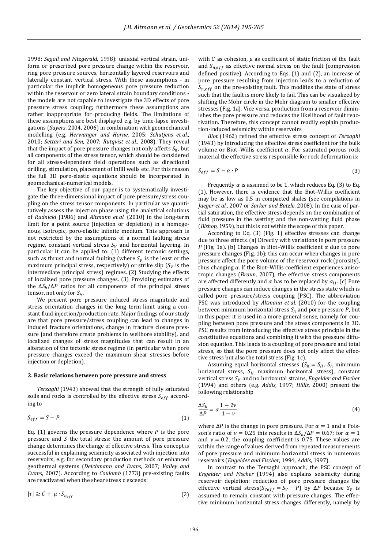1998; *Segall and Fitzgerald*, 1998): uniaxial vertical strain, uniform or prescribed pore pressure change within the reservoir, ring pore pressure sources, horizontally layered reservoirs and laterally constant vertical stress. With these assumptions - in particular the implicit homogeneous pore pressure reduction within the reservoir or zero lateral strain boundary conditions the models are not capable to investigate the 3D effects of pore pressure stress coupling; furthermore these assumptions are rather inappropriate for producing fields. The limitations of these assumptions are best displayed e.g. by time-lapse investigations (Sayers, 2004, 2006) in combination with geomechanical modelling (e.g. *Herwanger and Horne*, 2005; *Schutjens et al.*, 2010; Settari and Sen, 2007; Rutqvist et al., 2008). They reveal that the impact of pore pressure changes not only affects  $S_h$ , but all components of the stress tensor, which should be considered for all stress-dependent field operations such as directional drilling, stimulation, placement of infill wells etc. For this reason the full 3D poro-elastic equations should be incorporated in geomechanical-numerical models.

The key objective of our paper is to systematically investigate the three-dimensional impact of pore pressure/stress coupling on the stress tensor components. In particular we quantitatively assess the injection phase using the analytical solutions of *Rudnicki* (1986) and *Altmann et al.* (2010) in the long-term limit for a point source (injection or depletion) in a homogenous, isotropic, poro-elastic infinite medium. This approach is not restricted by the assumptions of a normal faulting stress regime, constant vertical stress  $S_V$  and horizontal layering. In particular it can be applied to: (1) different tectonic settings, such as thrust and normal faulting (where  $S_V$  is the least or the maximum principal stress, respectively) or strike slip  $(S_V)$  is the intermediate principal stress) regimes. (2) Studying the effects of localized pore pressure changes. (3) Providing estimates of the  $\Delta S_h/\Delta P$  ratios for all components of the principal stress tensor, not only for  $S_h$ .

We present pore pressure induced stress magnitude and stress orientation changes in the long term limit using a constant fluid injection/production rate. Major findings of our study are that pore pressure/stress coupling can lead to changes in induced fracture orientations, change in fracture closure pressure (and therefore create problems in wellbore stability), and localized changes of stress magnitudes that can result in an alteration of the tectonic stress regime (in particular when pore pressure changes exceed the maximum shear stresses before injection or depletion).

## **2. Basic relations between pore pressure and stress**

*Terzaghi* (1943) showed that the strength of fully saturated soils and rocks is controlled by the effective stress  $S_{eff}$  according to 

$$
S_{eff} = S - P \tag{1}
$$

Eq. (1) governs the pressure dependence where  $P$  is the pore pressure and  $S$  the total stress: the amount of pore pressure change determines the change of effective stress. This concept is successful in explaining seismicity associated with injection into reservoirs, e.g. for secondary production methods or enhanced geothermal systems (*Deichmann and Evans*, 2007; *Valley and Evans*, 2007). According to *Coulomb* (1773) pre-existing faults are reactivated when the shear stress  $\tau$  exceeds:

$$
|\tau| \ge C + \mu \cdot S_{n_{eff}} \tag{2}
$$

with  $C$  as cohesion,  $\mu$  as coefficient of static friction of the fault and  $S_{n,eff}$  as effective normal stress on the fault (compression defined positive). According to Eqs.  $(1)$  and  $(2)$ , an increase of pore pressure resulting from injection leads to a reduction of  $S_{n,eff}$  on the pre-existing fault. This modifies the state of stress such that the fault is more likely to fail. This can be visualized by shifting the Mohr circle in the Mohr diagram to smaller effective stresses (Fig. 1a). Vice versa, production from a reservoir diminishes the pore pressure and reduces the likelihood of fault reactivation. Therefore, this concept cannot readily explain production-induced seismicity within reservoirs.

*Biot* (1962) refined the effective stress concept of *Terzaghi* (1943) by introducing the effective stress coefficient for the bulk volume or Biot-Willis coefficient  $\alpha$ . For saturated porous rock material the effective stress responsible for rock deformation is:

$$
S_{eff} = S - \alpha \cdot P \tag{3}
$$

Frequently  $\alpha$  is assumed to be 1, which reduces Eq. (3) to Eq. (1). However, there is evidence that the Biot-Willis coefficient may be as low as 0.5 in compacted shales (see compilations in *Jaeger et al.*, 2007 or *Sarker and Batzle*, 2008). In the case of partial saturation, the effective stress depends on the combination of fluid pressure in the wetting and the non-wetting fluid phase (*Bishop*, 1959), but this is not within the scope of this paper.

According to Eq.  $(3)$  (Fig. 1) effective stresses can change due to three effects. (a) Directly with variations in pore pressure P (Fig. 1a). (b) Changes in Biot–Willis coefficient  $\alpha$  due to pore pressure changes (Fig. 1b); this can occur when changes in pore pressure affect the pore volume of the reservoir rock (porosity), thus changing  $\alpha$ . If the Biot–Willis coefficient experiences anisotropic changes (*Braun*, 2007), the effective stress components are affected differently and  $\alpha$  has to be replaced by  $\alpha_{ij}$ . (c) Pore pressure changes can induce changes in the stress state which is called pore pressure/stress coupling (PSC). The abbreviation PSC was introduced by *Altmann et al.* (2010) for the coupling between minimum horizontal stress  $S_h$  and pore pressure  $P$ , but in this paper it is used in a more general sense, namely for coupling between pore pressure and the stress components in 3D. PSC results from introducing the effective stress principle in the constitutive equations and combining it with the pressure diffusion equation. This leads to a coupling of pore pressure and total stress, so that the pore pressure does not only affect the effective stress but also the total stress (Fig. 1c).

Assuming equal horizontal stresses  $(S_h = S_H, S_h$  minimum horizontal stress,  $S_H$  maximum horizontal stress), constant vertical stress  $S_V$  and no horizontal strains, *Engelder and Fischer* (1994) and others (e.g. *Addis*, 1997; *Hillis*, 2000) present the following relationship

$$
\frac{\Delta S_h}{\Delta P} = \alpha \frac{1 - 2\nu}{1 - \nu} \tag{4}
$$

where  $\Delta P$  is the change in pore pressure. For  $\alpha = 1$  and a Poisson's ratio of  $\nu = 0.25$  this results in  $\Delta S_h/\Delta P = 0.67$ ; for  $\alpha = 1$ and  $v = 0.2$ , the coupling coefficient is 0.75. These values are within the range of values derived from repeated measurements of pore pressure and minimum horizontal stress in numerous reservoirs (*Engelder and Fischer*, 1994; *Addis*, 1997).

In contrast to the Terzaghi approach, the PSC concept of *Engelder and Fischer* (1994) also explains seismicity during reservoir depletion: reduction of pore pressure changes the effective vertical stress( $S_{Veff} = S_V - P$ ) by  $\Delta P$  because  $S_V$  is assumed to remain constant with pressure changes. The effective minimum horizontal stress changes differently, namely by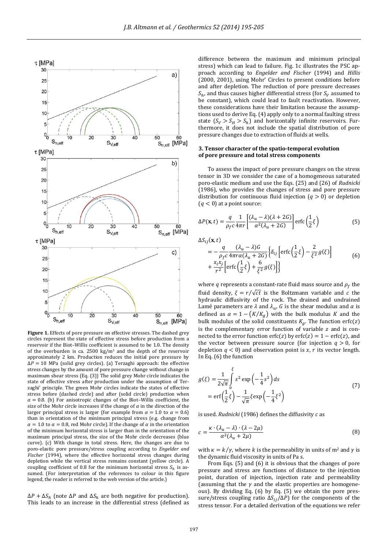

**Figure 1.** Effects of pore pressure on effective stresses. The dashed grey circles represent the state of effective stress before production from a reservoir if the Biot-Willis coefficient is assumed to be 1.0. The density of the overburden is ca.  $2500 \text{ kg/m}^3$  and the depth of the reservoir approximately 2 km. Production reduces the initial pore pressure by  $\Delta P = 10$  MPa (solid grey circles). (a) Terzaghi approach: the effective stress changes by the amount of pore pressure change without change in maximum shear stress  $(Eq. (3))$  The solid grey Mohr circle indicates the state of effective stress after production under the assumption of Terzaghi' principle. The green Mohr circles indicate the states of effective stress before (dashed circle) and after (solid circle) production when  $\alpha = 0.8$ . (b) For anisotropic changes of the Biot–Willis coefficient, the size of the Mohr circle increases if the change of  $\alpha$  in the direction of the larger principal stress is larger (for example from  $\alpha = 1.0$  to  $\alpha = 0.6$ ) than in orientation of the minimum principal stress (e.g. change from  $\alpha = 1.0$  to  $\alpha = 0.8$ , red Mohr circle). If the change of  $\alpha$  in the orientation of the minimum horizontal stress is larger than in the orientation of the maximum principal stress, the size of the Mohr circle decreases (blue curve). (c) With change in total stress. Here, the changes are due to poro-elastic pore pressure/stress coupling according to *Engelder and Fischer* (1994), where the effective horizontal stress changes during depletion while the vertical stress remains constant (yellow circle). A coupling coefficient of 0.8 for the minimum horizontal stress  $S_h$  is assumed. (For interpretation of the references to colour in this figure legend, the reader is referred to the web version of the article.)

 $\Delta P + \Delta S_h$  (note  $\Delta P$  and  $\Delta S_h$  are both negative for production). This leads to an increase in the differential stress (defined as

difference between the maximum and minimum principal stress) which can lead to failure. Fig. 1c illustrates the PSC approach according to *Engelder and Fischer* (1994) and *Hillis* (2000, 2001), using Mohr' Circles to present conditions before and after depletion. The reduction of pore pressure decreases  $S_h$ , and thus causes higher differential stress (for  $S_V$  assumed to be constant), which could lead to fault reactivation. However, these considerations have their limitation because the assumptions used to derive Eq. (4) apply only to a normal faulting stress state  $(S_V > S_H > S_h)$  and horizontally infinite reservoirs. Furthermore, it does not include the spatial distribution of pore pressure changes due to extraction of fluids at wells.

# **3. Tensor character of the spatio‐temporal evolution of pore pressure and total stress components**

To assess the impact of pore pressure changes on the stress tensor in 3D we consider the case of a homogeneous saturated poro-elastic medium and use the Eqs. (25) and (26) of *Rudnicki* (1986), who provides the changes of stress and pore pressure distribution for continuous fluid injection  $(q > 0)$  or depletion  $(q < 0)$  at a point source:

$$
\Delta P(\mathbf{x}, t) = \frac{q}{\rho_f c} \frac{1}{4\pi r} \left[ \frac{(\lambda_u - \lambda)(\lambda + 2G)}{\alpha^2 (\lambda_u + 2G)} \right] \text{erfc}\left(\frac{1}{2}\xi\right)
$$
(5)

 $\Delta S_{ij}(\mathbf{x},t)$ 

$$
= -\frac{q}{\rho_f c} \frac{(\lambda_u - \lambda)G}{4\pi r \alpha (\lambda_u + 2G)} \Big\{ \delta_{ij} \left[ \text{erfc} \left( \frac{1}{2} \xi \right) - \frac{2}{\xi^2} g(\xi) \right] + \frac{x_i x_j}{r^2} \left[ \text{erfc} \left( \frac{1}{2} \xi \right) + \frac{6}{\xi^2} g(\xi) \right] \Big\}
$$
(6)

where q represents a constant-rate fluid mass source and  $\rho_f$  the fluid density,  $\xi = r/\sqrt{ct}$  is the Boltzmann variable and c the hydraulic diffusivity of the rock. The drained and undrained Lamé parameters are  $\lambda$  and  $\lambda_u$ , G is the shear modulus and  $\alpha$  is defined as  $\alpha = 1 - (K/K_g)$  with the bulk modulus K and the bulk modulus of the solid constituents  $K_q$ . The function erfc(z) is the complementary error function of variable  $z$  and is connected to the error function  $erfc(z)$  by  $erfc(z) = 1 - erfc(z)$ , and the vector between pressure source (for injection  $q > 0$ , for depletion  $q < 0$ ) and observation point is x, r its vector length. In Eq.  $(6)$  the function

$$
g(\xi) = \frac{1}{2\sqrt{\pi}} \int_{0}^{\xi} s^2 \exp\left(-\frac{1}{4}s^2\right) ds
$$
  
= erf $\left(\frac{1}{2}\xi\right) - \frac{1}{\sqrt{\pi}}\xi \exp\left(-\frac{1}{4}\xi^2\right)$  (7)

is used.  $Rudnicki$  (1986) defines the diffusivity  $c$  as

$$
c = \frac{\kappa \cdot (\lambda_u - \lambda) \cdot (\lambda - 2\mu)}{\alpha^2 (\lambda_u + 2\mu)}\tag{8}
$$

with  $\kappa = k/\gamma$ , where k is the permeability in units of m<sup>2</sup> and  $\gamma$  is the dynamic fluid viscosity in units of Pa s.

From Eqs.  $(5)$  and  $(6)$  it is obvious that the changes of pore pressure and stress are functions of distance to the injection point, duration of injection, injection rate and permeability (assuming that the  $\gamma$  and the elastic properties are homogeneous). By dividing Eq. (6) by Eq. (5) we obtain the pore pressure/stress coupling ratio  $\Delta S_{ij}/\Delta P$ ) for the components of the stress tensor. For a detailed derivation of the equations we refer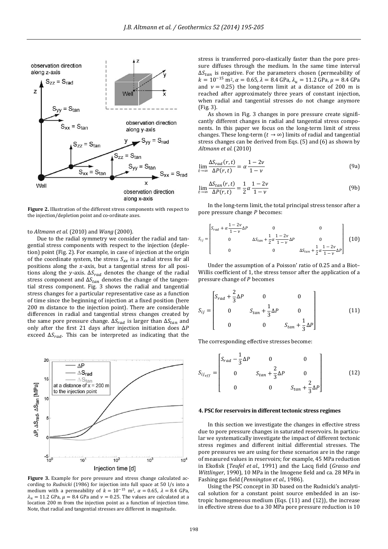

Figure 2. Illustration of the different stress components with respect to the injection/depletion point and co-ordinate axes.

to *Altmann et al.* (2010) and *Wang* (2000). 

Due to the radial symmetry we consider the radial and tangential stress components with respect to the injection (depletion) point (Fig. 2). For example, in case of injection at the origin of the coordinate system, the stress  $S_{xx}$  is a radial stress for all positions along the  $x$ -axis, but a tangential stress for all positions along the y-axis.  $\Delta S_{rad}$  denotes the change of the radial stress component and  $\Delta S_{tan}$  denotes the change of the tangential stress component. Fig. 3 shows the radial and tangential stress changes for a particular representative case as a function of time since the beginning of injection at a fixed position (here 200 m distance to the injection point). There are considerable differences in radial and tangential stress changes created by the same pore pressure change.  $\Delta S_{rad}$  is larger than  $\Delta S_{tan}$  and only after the first 21 days after injection initiation does  $\Delta P$ exceed  $\Delta S_{rad}$ . This can be interpreted as indicating that the



Figure 3. Example for pore pressure and stress change calculated according to *Rudnicki* (1986) for injection into full space at 50 l/s into a medium with a permeability of  $k = 10^{-15}$  m<sup>2</sup>,  $\alpha = 0.65$ ,  $\lambda = 8.4$  GPa,  $\lambda_u = 11.2$  GPa,  $\mu = 8.4$  GPa and  $\nu = 0.25$ . The values are calculated at a location 200 m from the injection point as a function of injection time. Note, that radial and tangential stresses are different in magnitude.

stress is transferred poro-elastically faster than the pore pressure diffuses through the medium. In the same time interval  $\Delta S_{tan}$  is negative. For the parameters chosen (permeability of  $k = 10^{-15}$  m<sup>2</sup>,  $\alpha = 0.65$ ,  $\lambda = 8.4$  GPa,  $\lambda_u = 11.2$  GPa,  $\mu = 8.4$  GPa and  $v = 0.25$ ) the long-term limit at a distance of 200 m is reached after approximately three years of constant injection, when radial and tangential stresses do not change anymore (Fig. 3). 

As shown in Fig. 3 changes in pore pressure create significantly different changes in radial and tangential stress components. In this paper we focus on the long-term limit of stress changes. These long-term  $(t \rightarrow \infty)$  limits of radial and tangential stress changes can be derived from Eqs.  $(5)$  and  $(6)$  as shown by *Altmann et al.* (2010) 

$$
\lim_{t \to \infty} \frac{\Delta S_{rad}(r, t)}{\Delta P(r, t)} = \alpha \frac{1 - 2\nu}{1 - \nu}
$$
\n(9a)

$$
\lim_{t \to \infty} \frac{\Delta S_{tan}(r, t)}{\Delta P(r, t)} = \frac{1}{2} \alpha \frac{1 - 2\nu}{1 - \nu}
$$
(9b)

In the long-term limit, the total principal stress tensor after a pore pressure change  $P$  becomes:

$$
S_{ij} = \begin{bmatrix} S_{rad} + \alpha \frac{1 - 2\nu}{1 - \nu} \Delta P & 0 & 0 \\ 0 & \Delta S_{tan} + \frac{1}{2} \alpha \frac{1 - 2\nu}{1 - \nu} \Delta P & 0 \\ 0 & 0 & \Delta S_{tan} + \frac{1}{2} \alpha \frac{1 - 2\nu}{1 - \nu} \Delta P \end{bmatrix}
$$
(10)

Under the assumption of a Poisson' ratio of 0.25 and a Biot-Willis coefficient of 1, the stress tensor after the application of a pressure change of  $P$  becomes

$$
S_{ij} = \begin{bmatrix} S_{rad} + \frac{2}{3} \Delta P & 0 & 0 \\ 0 & S_{tan} + \frac{1}{3} \Delta P & 0 \\ 0 & 0 & S_{tan} + \frac{1}{3} \Delta P \end{bmatrix}
$$
(11)

The corresponding effective stresses become:

$$
S_{ij_{eff}} = \begin{bmatrix} S_{rad} - \frac{1}{3} \Delta P & 0 & 0 \\ 0 & S_{tan} + \frac{2}{3} \Delta P & 0 \\ 0 & 0 & S_{tan} + \frac{2}{3} \Delta P \end{bmatrix}
$$
(12)

## **4. PSC for reservoirs in differenttectonic stress regimes**

In this section we investigate the changes in effective stress due to pore pressure changes in saturated reservoirs. In particular we systematically investigate the impact of different tectonic stress regimes and different initial differential stresses. The pore pressures we are using for these scenarios are in the range of measured values in reservoirs; for example, 45 MPa reduction in Ekofisk (*Teufel et al.*, 1991) and the Lacq field (*Grasso and Wittlinger*, 1990), 10 MPa in the Imogene field and ca. 28 MPa in Fashing gas field (*Pennington et al.*, 1986).

Using the PSC concept in 3D based on the Rudnicki's analytical solution for a constant point source embedded in an isotropic homogeneous medium (Eqs.  $(11)$  and  $(12)$ ), the increase in effective stress due to a 30 MPa pore pressure reduction is 10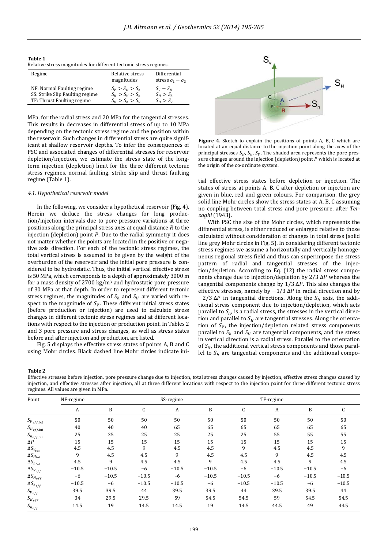| Table 1                                                           |  |
|-------------------------------------------------------------------|--|
| Relative stress magnitudes for different tectonic stress regimes. |  |

| Regime                          | Relative stress<br>magnitudes | Differential<br>stress $\sigma_1 - \sigma_3$ |
|---------------------------------|-------------------------------|----------------------------------------------|
| NF: Normal Faulting regime      | $S_V > S_H > S_h$             | $S_V-S_H$                                    |
| SS: Strike Slip Faulting regime | $S_H > S_V > S_h$             | $S_H > S_h$                                  |
| TF: Thrust Faulting regime      | $S_{H} > S_{h} > S_{V}$       | $S_u > S_v$                                  |

MPa, for the radial stress and 20 MPa for the tangential stresses. This results in decreases in differential stress of up to 10 MPa depending on the tectonic stress regime and the position within the reservoir. Such changes in differential stress are quite significant at shallow reservoir depths. To infer the consequences of PSC and associated changes of differential stresses for reservoir depletion/injection, we estimate the stress state of the longterm injection (depletion) limit for the three different tectonic stress regimes, normal faulting, strike slip and thrust faulting regime (Table 1).

## *4.1. Hypothetical reservoir model*

In the following, we consider a hypothetical reservoir (Fig. 4). Herein we deduce the stress changes for long production/injection intervals due to pore pressure variations at three positions along the principal stress axes at equal distance  *to the* injection (depletion) point  $P$ . Due to the radial symmetry it does not matter whether the points are located in the positive or negative axis direction. For each of the tectonic stress regimes, the total vertical stress is assumed to be given by the weight of the overburden of the reservoir and the initial pore pressure is considered to be hydrostatic. Thus, the initial vertical effective stress is 50 MPa, which corresponds to a depth of approximately 3000 m for a mass density of  $2700 \text{ kg/m}^3$  and hydrostatic pore pressure of 30 MPa at that depth. In order to represent different tectonic stress regimes, the magnitudes of  $S_h$  and  $S_H$  are varied with respect to the magnitude of  $S_V$ . These different initial stress states (before production or injection) are used to calculate stress changes in different tectonic stress regimes and at different locations with respect to the injection or production point. In Tables 2 and 3 pore pressure and stress changes, as well as stress states before and after injection and production, are listed.

Fig. 5 displays the effective stress states of points A, B and C using Mohr circles. Black dashed line Mohr circles indicate ini-



**Figure 4.** Sketch to explain the positions of points A, B, C which are located at an equal distance to the injection point along the axes of the principal stresses  $S_H$ ,  $S_h$ ,  $S_V$ . The shaded area represents the pore pressure changes around the injection (depletion) point  $P$  which is located at the origin of the co-ordinate system.

tial effective stress states before depletion or injection. The states of stress at points A, B, C after depletion or injection are given in blue, red and green colours. For comparison, the grey solid line Mohr circles show the stress states at A, B, C assuming no coupling between total stress and pore pressure, after *Terzaghi* (1943). 

With PSC the size of the Mohr circles, which represents the differential stress, is either reduced or enlarged relative to those calculated without consideration of changes in total stress (solid line grey Mohr circles in Fig. 5). In considering different tectonic stress regimes we assume a horizontally and vertically homogeneous regional stress field and thus can superimpose the stress pattern of radial and tangential stresses of the injection/depletion. According to Eq.  $(12)$  the radial stress components change due to injection/depletion by  $2/3$   $\Delta P$  whereas the tangential components change by  $1/3$   $\Delta P$ . This also changes the effective stresses, namely by  $-1/3$   $\Delta P$  in radial direction and by  $-2/3$   $\Delta P$  in tangential directions. Along the  $S_h$  axis, the additional stress component due to injection/depletion, which acts parallel to  $S_h$ , is a radial stress, the stresses in the vertical direction and parallel to  $S_H$  are tangential stresses. Along the orientation of  $S_V$ , the injection/depletion related stress components parallel to  $S_h$  and  $S_H$  are tangential components, and the stress in vertical direction is a radial stress. Parallel to the orientation of  $S_H$ , the additional vertical stress components and those parallel to  $S_h$  are tangential components and the additional compo-

**Table 2**

Effective stresses before injection, pore pressure change due to injection, total stress changes caused by injection, effective stress changes caused by injection, and effective stresses after injection, all at three different locations with respect to the injection point for three different tectonic stress regimes. All values are given in MPa.

| Point                    | NF-regime | SS-regime |         |         |         | TF-regime |         |         |         |
|--------------------------|-----------|-----------|---------|---------|---------|-----------|---------|---------|---------|
|                          | A         | B         | C       | A       | B       | C         | A       | B       |         |
| ${\cal S}_{V_{eff,ini}}$ | 50        | 50        | 50      | 50      | 50      | 50        | 50      | 50      | 50      |
| ${\cal S}_{H_{eff,ini}}$ | 40        | 40        | 40      | 65      | 65      | 65        | 65      | 65      | 65      |
| $S_{heff,ini}$           | 25        | 25        | 25      | 25      | 25      | 25        | 55      | 55      | 55      |
| $\Delta P$               | 15        | 15        | 15      | 15      | 15      | 15        | 15      | 15      | 15      |
| $\Delta S_{V_{tot}}$     | 4.5       | 4.5       | 9       | 4.5     | 4.5     | 9         | 4.5     | 4.5     | 9       |
| $\Delta S_{H_{tot}}$     | 9         | 4.5       | 4.5     | 9       | 4.5     | 4.5       | 9       | 4.5     | 4.5     |
| $\Delta S_{h_{tot}}$     | 4.5       | 9         | 4.5     | 4.5     | 9       | 4.5       | 4.5     | 9       | 4.5     |
| $\Delta S_{V_{eff}}$     | $-10.5$   | $-10.5$   | -6      | $-10.5$ | $-10.5$ | $-6$      | $-10.5$ | $-10.5$ | -6      |
| $\Delta S_{H_{eff}}$     | $-6$      | $-10.5$   | $-10.5$ | $-6$    | $-10.5$ | $-10.5$   | $-6$    | $-10.5$ | $-10.5$ |
| $\Delta S_{heff}$        | $-10.5$   | $-6$      | $-10.5$ | $-10.5$ | -6      | $-10.5$   | $-10.5$ | $-6$    | $-10.5$ |
| $S_{V_{eff}}$            | 39.5      | 39.5      | 44      | 39.5    | 39.5    | 44        | 39.5    | 39.5    | 44      |
| $S_{H_{eff}}$            | 34        | 29.5      | 29.5    | 59      | 54.5    | 54.5      | 59      | 54.5    | 54.5    |
| $S_{heff}$               | 14.5      | 19        | 14.5    | 14.5    | 19      | 14.5      | 44.5    | 49      | 44.5    |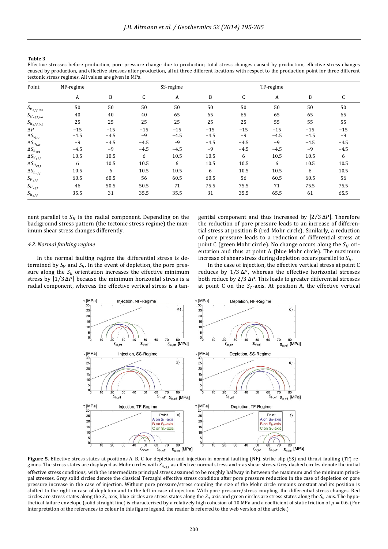## **Table 3**

Effective stresses before production, pore pressure change due to production, total stress changes caused by production, effective stress changes caused by production, and effective stresses after production, all at three different locations with respect to the production point for three different tectonic stress regimes. All values are given in MPa.

| Point                    | NF-regime |        |        | SS-regime |        |        | TF-regime |        |        |
|--------------------------|-----------|--------|--------|-----------|--------|--------|-----------|--------|--------|
|                          | A         | B      | C      | A         | B      | C      | A         | B      | C      |
| ${\cal S}_{V_{eff,ini}}$ | 50        | 50     | 50     | 50        | 50     | 50     | 50        | 50     | 50     |
| $S_{H_{eff,ini}}$        | 40        | 40     | 40     | 65        | 65     | 65     | 65        | 65     | 65     |
| $S_{heff,ini}$           | 25        | 25     | 25     | 25        | 25     | 25     | 55        | 55     | 55     |
| $\Delta P$               | $-15$     | $-15$  | $-15$  | $-15$     | $-15$  | $-15$  | $-15$     | $-15$  | $-15$  |
| $\Delta S_{V_{tot}}$     | $-4.5$    | $-4.5$ | $-9$   | $-4.5$    | $-4.5$ | $-9$   | $-4.5$    | $-4.5$ | $-9$   |
| $\Delta S_{H_{tot}}$     | $-9$      | $-4.5$ | $-4.5$ | $-9$      | $-4.5$ | $-4.5$ | $-9$      | $-4.5$ | $-4.5$ |
| $\Delta S_{h_{tot}}$     | $-4.5$    | $-9$   | $-4.5$ | $-4.5$    | $-9$   | $-4.5$ | $-4.5$    | $-9$   | $-4.5$ |
| $\Delta S_{V_{eff}}$     | 10.5      | 10.5   | 6      | 10.5      | 10.5   | 6      | 10.5      | 10.5   | 6      |
| $\Delta S_{H_{eff}}$     | 6         | 10.5   | 10.5   | 6         | 10.5   | 10.5   | 6         | 10.5   | 10.5   |
| $\Delta S_{heff}$        | 10.5      | 6      | 10.5   | 10.5      | 6      | 10.5   | 10.5      | 6      | 10.5   |
| $S_{V_{eff}}$            | 60.5      | 60.5   | 56     | 60.5      | 60.5   | 56     | 60.5      | 60.5   | 56     |
| $S_{H_{eff}}$            | 46        | 50.5   | 50.5   | 71        | 75.5   | 75.5   | 71        | 75.5   | 75.5   |
| $S_{heff}$               | 35.5      | 31     | 35.5   | 35.5      | 31     | 35.5   | 65.5      | 61     | 65.5   |

nent parallel to  $S_H$  is the radial component. Depending on the background stress pattern (the tectonic stress regime) the maximum shear stress changes differently.

## *4.2. Normal faulting regime*

In the normal faulting regime the differential stress is determined by  $S_V$  and  $S_h$ . In the event of depletion, the pore pressure along the  $S_h$  orientation increases the effective minimum stress by  $|1/3 \Delta P|$  because the minimum horizontal stress is a radial component, whereas the effective vertical stress is a tangential component and thus increased by  $|2/3 \Delta P|$ . Therefore the reduction of pore pressure leads to an increase of differential stress at position B (red Mohr circle). Similarly, a reduction of pore pressure leads to a reduction of differential stress at point C (green Mohr circle). No change occurs along the  $S_H$  orientation and thus at point A (blue Mohr circle). The maximum increase of shear stress during depletion occurs parallel to  $S_h$ .

In the case of injection, the effective vertical stress at point C reduces by  $1/3 \Delta P$ , whereas the effective horizontal stresses both reduce by  $2/3$   $\Delta P$ . This leads to greater differential stresses at point C on the  $S_v$ -axis. At position A, the effective vertical



Figure 5. Effective stress states at positions A, B, C for depletion and injection in normal faulting (NF), strike slip (SS) and thrust faulting (TF) regimes. The stress states are displayed as Mohr circles with  $S_{n_{eff}}$  as effective normal stress and  $\tau$  as shear stress. Grey dashed circles denote the initial effective stress conditions, with the intermediate principal stress assumed to be roughly halfway in between the maximum and the minimum principal stresses. Grey solid circles denote the classical Terzaghi effective stress condition after pore pressure reduction in the case of depletion or pore pressure increase in the case of injection. Without pore pressure/stress coupling the size of the Mohr circle remains constant and its position is shifted to the right in case of depletion and to the left in case of injection. With pore pressure/stress coupling, the differential stress changes. Red circles are stress states along the  $S_h$  axis, blue circles are stress states along the  $S_h$  axis and green circles are stress states along the  $S_v$  axis. The hypothetical failure envelope (solid straight line) is characterized by a relatively high cohesion of 10 MPa and a coefficient of static friction of  $\mu = 0.6$ . (For interpretation of the references to colour in this figure legend, the reader is referred to the web version of the article.)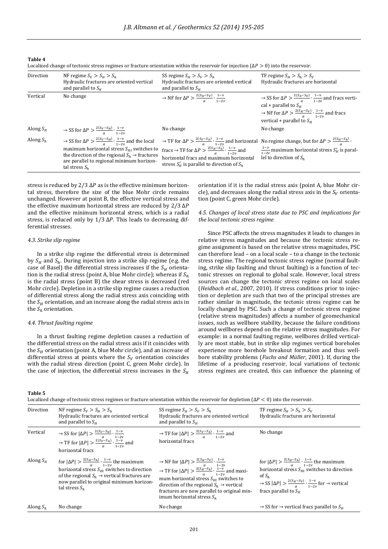**Table 4**

|  | Localized change of tectonic stress regimes or fracture orientation within the reservoir for injection ( $\Delta P > 0$ ) into the reservoir. |  |  |
|--|-----------------------------------------------------------------------------------------------------------------------------------------------|--|--|
|  |                                                                                                                                               |  |  |

| Direction   | NF regime $S_V > S_H > S_h$<br>Hydraulic fractures are oriented vertical<br>and parallel to $S_{\mu}$                                                                                                                                                                             | SS regime $S_H > S_V > S_h$<br>Hydraulic fractures are oriented vertical<br>and parallel to $S_{\mu}$                                                                                                                                                                          | TF regime $S_H > S_h > S_V$<br>Hydraulic fractures are horizontal                                                                                                                                                                                              |  |  |  |  |  |
|-------------|-----------------------------------------------------------------------------------------------------------------------------------------------------------------------------------------------------------------------------------------------------------------------------------|--------------------------------------------------------------------------------------------------------------------------------------------------------------------------------------------------------------------------------------------------------------------------------|----------------------------------------------------------------------------------------------------------------------------------------------------------------------------------------------------------------------------------------------------------------|--|--|--|--|--|
| Vertical    | No change                                                                                                                                                                                                                                                                         | $\rightarrow$ NF for $\Delta P > \frac{2(S_H-S_V)}{g} \cdot \frac{1-\nu}{1-2\nu}$                                                                                                                                                                                              | $\rightarrow$ SS for $\Delta P > \frac{2(S_h - S_V)}{a} \cdot \frac{1 - v}{1 - 2v}$ and fracs verti-<br>cal + parallel to $S_H$<br>$\rightarrow$ NF for $\Delta P > \frac{2(S_H-S_V)}{g} \cdot \frac{1-\nu}{1-2\nu}$ and fracs<br>vertical + parallel to $S_H$ |  |  |  |  |  |
| Along $S_H$ | $\rightarrow$ SS for $\Delta P > \frac{2(S_V - S_H)}{\alpha} \cdot \frac{1 - \nu}{1 - 2\nu}$                                                                                                                                                                                      | No change                                                                                                                                                                                                                                                                      | No change                                                                                                                                                                                                                                                      |  |  |  |  |  |
| Along $S_h$ | $\rightarrow$ SS for $\Delta P > \frac{2(S_V - S_H)}{g} \cdot \frac{1 - v}{1 - 2v}$ and the local<br>maximum horizontal stress $S_{H1}$ switches to<br>the direction of the regional $S_h \rightarrow$ fractures<br>are parallel to regional minimum horizon-<br>tal stress $S_h$ | $\rightarrow$ TF for $\Delta P > \frac{2(S_V - S_h)}{\alpha} \cdot \frac{1 - \nu}{1 - 2\nu}$ and horizontal No regime change, but for $\Delta P > \frac{2(S_H - S_h)}{\alpha}$ .<br>horizontal fracs and maximum horizontal<br>stress $S'_H$ is parallel to direction of $S_h$ | fracs $\rightarrow$ TF for $\Delta P > \frac{2(S_H-S_h)}{g} \cdot \frac{1-\nu}{1-2\nu}$ and $\frac{1-\nu}{1-2\nu}$ maximum horizontal stress $S'_H$ is paral-<br>lel to direction of $S_h$                                                                     |  |  |  |  |  |

stress is reduced by  $2/3 \Delta P$  as is the effective minimum horizontal stress, therefore the size of the blue Mohr circle remains unchanged. However at point B, the effective vertical stress and the effective maximum horizontal stress are reduced by  $2/3 \Delta P$ and the effective minimum horizontal stress, which is a radial stress, is reduced only by  $1/3 \Delta P$ . This leads to decreasing differential stresses.

## *4.3. Strike slip regime*

In a strike slip regime the differential stress is determined by  $S_H$  and  $S_h$ . During injection into a strike slip regime (e.g. the case of Basel) the differential stress increases if the  $S_H$  orientation is the radial stress (point A, blue Mohr circle); whereas if  $S_h$ is the radial stress (point B) the shear stress is decreased (red Mohr circle). Depletion in a strike slip regime causes a reduction of differential stress along the radial stress axis coinciding with the  $S_H$  orientation, and an increase along the radial stress axis in the  $S_h$  orientation.

## *4.4. Thrust faulting regime*

In a thrust faulting regime depletion causes a reduction of the differential stress on the radial stress axis if it coincides with the  $S_H$  orientation (point A, blue Mohr circle), and an increase of differential stress at points where the  $S_V$  orientation coincides with the radial stress direction (point C, green Mohr circle). In the case of injection, the differential stress increases in the  $S_H$ 

orientation if it is the radial stress axis (point A, blue Mohr circle), and decreases along the radial stress axis in the  $S_v$  orientation (point C, green Mohr circle).

## *4.5. Changes of local stress state due to PSC and implications for the local tectonic stress regime*

Since PSC affects the stress magnitudes it leads to changes in relative stress magnitudes and because the tectonic stress regime assignment is based on the relative stress magnitudes, PSC can therefore lead  $-$  on a local scale  $-$  to a change in the tectonic stress regime. The regional tectonic stress regime (normal faulting, strike slip faulting and thrust faulting) is a function of tectonic stresses on regional to global scale. However, local stress sources can change the tectonic stress regime on local scales (*Heidbach et al.*, 2007, 2010). If stress conditions prior to injection or depletion are such that two of the principal stresses are rather similar in magnitude, the tectonic stress regime can be locally changed by PSC. Such a change of tectonic stress regime (relative stress magnitudes) affects a number of geomechanical issues, such as wellbore stability, because the failure conditions around wellbores depend on the relative stress magnitudes. For example: in a normal faulting regime, wellbores drilled vertically are most stable, but in strike slip regimes vertical boreholes experience more borehole breakout formation and thus wellbore stability problems (*Fuchs and Müller*, 2001). If, during the lifetime of a producing reservoir, local variations of tectonic stress regimes are created, this can influence the planning of

#### **Table 5**

Localized change of tectonic stress regimes or fracture orientation within the reservoir for depletion  $(\Delta P < 0)$  into the reservoir.

| Direction   | NF regime $S_v > S_u > S_h$<br>Hydraulic fractures are oriented vertical<br>and parallel to $S_H$                                                                                                                                                               | SS regime $S_H > S_V > S_h$<br>Hydraulic fractures are oriented vertical<br>and parallel to $S_{\mu}$                                                                                                                                                                                                                                                                   | TF regime $S_H > S_h > S_V$<br>Hydraulic fractures are horizontal                                                                                                                                                                                                                               |
|-------------|-----------------------------------------------------------------------------------------------------------------------------------------------------------------------------------------------------------------------------------------------------------------|-------------------------------------------------------------------------------------------------------------------------------------------------------------------------------------------------------------------------------------------------------------------------------------------------------------------------------------------------------------------------|-------------------------------------------------------------------------------------------------------------------------------------------------------------------------------------------------------------------------------------------------------------------------------------------------|
| Vertical    | → SS for $ \Delta P  > \frac{2(S_V - S_H)}{\alpha} \cdot \frac{1 - \nu}{1 - 2\nu}$<br>→ TF for $ \Delta P  > \frac{2(S_V - S_h)}{\alpha} \cdot \frac{1 - \nu}{1 - 2\nu}$ and<br>horizontal fracs                                                                | $\rightarrow$ TF for $ \Delta P  > \frac{2(S_V - S_h)}{\alpha} \cdot \frac{1 - v}{1 - 2v}$ and<br>horizontal fracs                                                                                                                                                                                                                                                      | No change                                                                                                                                                                                                                                                                                       |
| Along $S_H$ | for $ \Delta P  > \frac{2(S_H-S_h)}{g} \cdot \frac{1-\nu}{1-2\nu}$ the maximum<br>horizontal stress $S_{H1}$ switches to direction<br>of the regional $S_h \rightarrow$ vertical fractures are<br>now parallel to original minimum horizon-<br>tal stress $S_h$ | → NF for $ \Delta P  > \frac{2(S_H - S_V)}{\alpha} \cdot \frac{1 - \nu}{1 - 2\nu}$<br>→ TF for $ \Delta P  > \frac{2(S_H - S_h)}{\alpha} \cdot \frac{1 - \nu}{1 - 2\nu}$ and maxi-<br>mum horizontal stress $S_{Hl}$ switches to<br>direction of the regional $S_h \rightarrow$ vertical<br>fractures are now parallel to original min-<br>imum horizontal stress $S_h$ | for $ \Delta P  > \frac{2(S_H-S_h)}{g} \cdot \frac{1-\nu}{1-2\nu}$ the maximum<br>horizontal stress $S_{H1}$ switches to direction<br>of $S_h$<br>$\rightarrow$ SS $ \Delta P $ $>$ $\frac{2(S_H-S_V)}{g} \cdot \frac{1-\nu}{1-2\nu}$ for $\rightarrow$ vertical<br>fracs parallel to $S_{\mu}$ |
| Along $S_h$ | No change                                                                                                                                                                                                                                                       | No change                                                                                                                                                                                                                                                                                                                                                               | $\rightarrow$ SS for $\rightarrow$ vertical fracs parallel to $S_H$                                                                                                                                                                                                                             |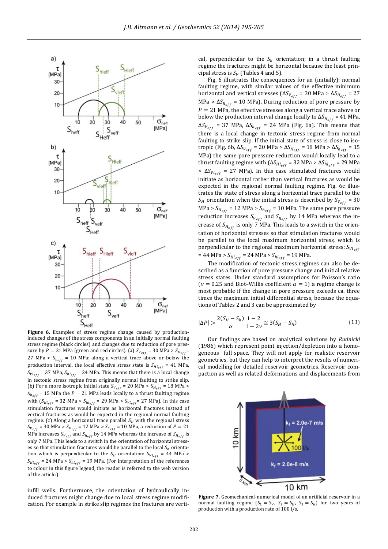

induced changes of the stress components in an initially normal faulting stress regime (black circles) and changes due to reduction of pore pressure by  $P = 21$  MPa (green and red circles). (a)  $S_{V_{eff}} = 30$  MPa >  $S_{H_{eff}}$ 27 MPa >  $S_{h_{eff}}$  = 10 MPa: along a vertical trace above or below the production interval, the local effective stress state is  $S_{H l_{eff}} = 41$  MPa,  $S_{VI_{eff}}$  = 37 MPa,  $S_{hl_{eff}}$  = 24 MPa. This means that there is a local change in tectonic stress regime from originally normal faulting to strike slip. (b) For a more isotropic initial state  $S_{V_{eff}} = 20 \text{ MPa} > S_{H_{eff}} = 18 \text{ MPa} >$  $S_{h_{eff}}$  = 15 MPa the *P* = 21 MPa leads locally to a thrust faulting regime with  $(S_{H \neq f} = 32 \text{ MPa} > S_{h \neq f} = 29 \text{ MPa} > S_{V \neq f} = 27 \text{ MPa}$ . In this case stimulation fractures would initiate as horizontal fractures instead of vertical fractures as would be expected in the regional normal faulting regime. (c) Along a horizontal trace parallel  $S_H$  with the regional stress  $S_{V_{eff}}$  = 30 MPa >  $S_{H_{eff}}$  = 12 MPa >  $S_{h_{eff}}$  = 10 MPa, a reduction of P = 21 MPa increases  $S_{V_{eff}}$  and  $S_{h_{eff}}$  by 14 MPa whereas the increase of  $S_{H_{eff}}$  is only 7 MPa. This leads to a switch in the orientation of horizontal stresses so that stimulation fractures would be parallel to the local  $S_h$  orientation which is perpendicular to the  $S_H$  orientation:  $S_{V l_{eff}}$  = 44 MPa >  $S_{HI_{eff}}$  = 24 MPa >  $S_{hleft}$  = 19 MPa. (For interpretation of the references to colour in this figure legend, the reader is referred to the web version of the article.)

infill wells. Furthermore, the orientation of hydraulically induced fractures might change due to local stress regime modification. For example in strike slip regimes the fractures are vertical, perpendicular to the  $S_h$  orientation; in a thrust faulting regime the fractures might be horizontal because the least principal stress is  $S_V$  (Tables 4 and 5).

Fig. 6 illustrates the consequences for an (initially): normal faulting regime, with similar values of the effective minimum horizontal and vertical stresses ( $\Delta S_{V_{eff}}$  = 30 MPa >  $\Delta S_{H_{eff}}$  = 27 MPa >  $\Delta S_{h_{eff}}$  = 10 MPa). During reduction of pore pressure by  $P = 21$  MPa, the effective stresses along a vertical trace above or below the production interval change locally to  $\Delta S_{H_{eff}}$  = 41 MPa,  $\Delta S_{V_{eff}}$  = 37 MPa,  $\Delta S_{h_{eff}}$  = 24 MPa (Fig. 6a). This means that there is a local change in tectonic stress regime from normal faulting to strike slip. If the initial state of stress is close to isotropic (Fig. 6b,  $\Delta S_{V_{eff}}$  = 20 MPa >  $\Delta S_{H_{eff}}$  = 18 MPa >  $\Delta S_{h_{eff}}$  = 15 MPa) the same pore pressure reduction would locally lead to a thrust faulting regime with  $(\Delta S_{Hl_{eff}} = 32 \text{ MPa} > \Delta S_{hl_{eff}} = 29 \text{ MPa}$ >  $\Delta S_{Vl_{eff}}$  = 27 MPa). In this case stimulated fractures would initiate as horizontal rather than vertical fractures as would be expected in the regional normal faulting regime. Fig. 6c illustrates the state of stress along a horizontal trace parallel to the  $S_H$  orientation when the initial stress is described by  $S_{V_{eff}} = 30$ MPa >  $S_{H_{eff}}$  = 12 MPa >  $S_{h_{eff}}$  = 10 MPa. The same pore pressure reduction increases  $S_{V_{eff}}$  and  $S_{h_{eff}}$  by 14 MPa whereas the increase of  $S_{H_{eff}}$  is only 7 MPa. This leads to a switch in the orientation of horizontal stresses so that stimulation fractures would be parallel to the local maximum horizontal stress, which is perpendicular to the regional maximum horizontal stress:  $S_{Vl_{eff}}$ = 44 MPa >  $S_{Hl_{eff}}$  = 24 MPa >  $S_{h l_{eff}}$  = 19 MPa.

The modification of tectonic stress regimes can also be described as a function of pore pressure change and initial relative stress states. Under standard assumptions for Poisson's ratio ( $\nu = 0.25$  and Biot–Willis coefficient  $\alpha = 1$ ) a regime change is most probable if the change in pore pressure exceeds ca. three times the maximum initial differential stress, because the equations of Tables 2 and 3 can be approximated by

$$
|\Delta P| > \frac{2(S_H - S_h)}{\alpha} \frac{1 - 2}{1 - 2\nu} \approx 3(S_H - S_h)
$$
\n(13)

Our findings are based on analytical solutions by *Rudnicki* (1986) which represent point injection/depletion into a homogeneous full space. They will not apply for realistic reservoir geometries, but they can help to interpret the results of numerical modelling for detailed reservoir geometries. Reservoir compaction as well as related deformations and displacements from



Figure 7. Geomechanical-numerical model of an artificial reservoir in a normal faulting regime  $(S_1 = S_V, S_2 = S_H, S_3 = S_h)$  for two years of production with a production rate of 100 l/s.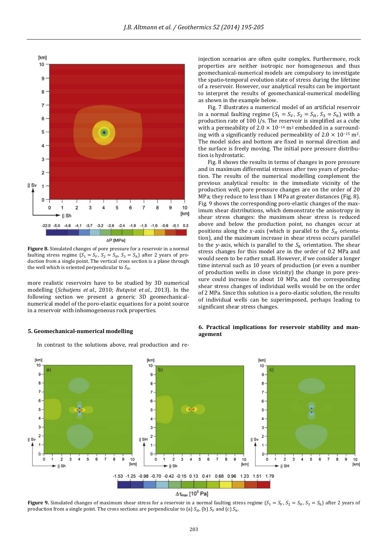

**Figure 8.** Simulated changes of pore pressure for a reservoir in a normal faulting stress regime  $(S_1 = S_V, S_2 = S_H, S_3 = S_h)$  after 2 years of production from a single point. The vertical cross section is a plane through the well which is oriented perpendicular to  $S_H$ .

more realistic reservoirs have to be studied by 3D numerical modelling (*Schutjens et al.*, 2010; *Rutqvist et al.*, 2013). In the following section we present a generic 3D geomechanicalnumerical model of the poro-elastic equations for a point source in a reservoir with inhomogeneous rock properties.

## **5. Geomechanical‐numerical modelling**

In contrast to the solutions above, real production and re-

injection scenarios are often quite complex. Furthermore, rock properties are neither isotropic nor homogeneous and thus geomechanical-numerical models are compulsory to investigate the spatio-temporal evolution state of stress during the lifetime of a reservoir. However, our analytical results can be important to interpret the results of geomechanical-numerical modelling as shown in the example below.

Fig. 7 illustrates a numerical model of an artificial reservoir in a normal faulting regime  $(S_1 = S_V, S_2 = S_H, S_3 = S_h)$  with a production rate of  $100 \frac{1}{s}$ . The reservoir is simplified as a cube with a permeability of  $2.0 \times 10^{-14}$  m<sup>2</sup> embedded in a surrounding with a significantly reduced permeability of  $2.0 \times 10^{-15}$  m<sup>2</sup>. The model sides and bottom are fixed in normal direction and the surface is freely moving. The initial pore pressure distribution is hydrostatic.

Fig. 8 shows the results in terms of changes in pore pressure and in maximum differential stresses after two years of production. The results of the numerical modelling complement the previous analytical results: in the immediate vicinity of the production well, pore pressure changes are on the order of 20 MPa; they reduce to less than 1 MPa at greater distances (Fig. 8). Fig. 9 shows the corresponding poro-elastic changes of the maximum shear distributions, which demonstrate the anisotropy in shear stress changes: the maximum shear stress is reduced above and below the production point, no changes occur at positions along the x-axis (which is parallel to the  $S_H$  orientation), and the maximum increase in shear stress occurs parallel to the *y*-axis, which is parallel to the  $S_h$  orientation. The shear stress changes for this model are in the order of 0.2 MPa and would seem to be rather small. However, if we consider a longer time interval such as 10 years of production (or even a number of production wells in close vicinity) the change in pore pressure could increase to about 10 MPa, and the corresponding shear stress changes of individual wells would be on the order of 2 MPa. Since this solution is a poro-elastic solution, the results of individual wells can be superimposed, perhaps leading to significant shear stress changes.



## **6. Practical implications for reservoir stability and man‐ agement**

**Figure** 9. Simulated changes of maximum shear stress for a reservoir in a normal faulting stress regime  $(S_1 = S_V, S_2 = S_H, S_3 = S_h)$  after 2 years of production from a single point. The cross sections are perpendicular to (a)  $S_H$ , (b)  $S_V$  and (c)  $S_h$ .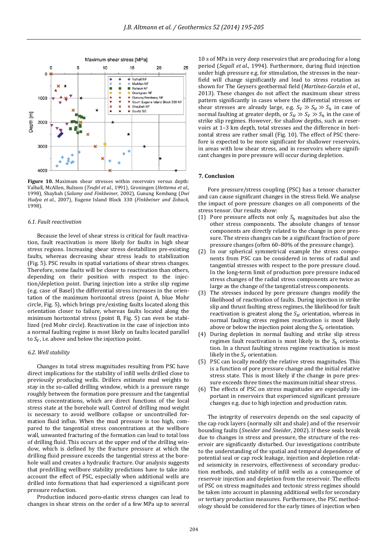

**Figure 10.** Maximum shear stresses within reservoirs versus depth: Valhall, McAllen, Rulison (*Teufel et al.*, 1991), Groningen (*Hettema et al.*, 1998), Shaybah (Salamy and Finkbeiner, 2002), Gunung Kembang (Dwi *Hudya et al.*, 2007), Eugene Island Block 330 (*Finkbeiner and Zoback*, 1998).

#### *6.1. Fault reactivation*

Because the level of shear stress is critical for fault reactivation, fault reactivation is more likely for faults in high shear stress regions. Increasing shear stress destabilizes pre-existing faults, whereas decreasing shear stress leads to stabilization (Fig. 5). PSC results in spatial variations of shear stress changes. Therefore, some faults will be closer to reactivation than others, depending on their position with respect to the injection/depletion point. During injection into a strike slip regime (e.g. case of Basel) the differential stress increases in the orientation of the maximum horizontal stress (point A, blue Mohr circle, Fig. 5), which brings pre/existing faults located along this orientation closer to failure, whereas faults located along the minimum horizontal stress (point B, Fig. 5) can even be stabilized (red Mohr circle). Reactivation in the case of injection into a normal faulting regime is most likely on faults located parallel to  $S_V$ , i.e. above and below the injection point.

## *6.2. Well stability*

Changes in total stress magnitudes resulting from PSC have direct implications for the stability of infill wells drilled close to previously producing wells. Drillers estimate mud weights to stay in the so-called drilling window, which is a pressure range roughly between the formation pore pressure and the tangential stress concentrations, which are direct functions of the local stress state at the borehole wall. Control of drilling mud weight is necessary to avoid wellbore collapse or uncontrolled formation fluid influx. When the mud pressure is too high, compared to the tangential stress concentrations at the wellbore wall, unwanted fracturing of the formation can lead to total loss of drilling fluid. This occurs at the upper end of the drilling window, which is defined by the fracture pressure at which the drilling fluid pressure exceeds the tangential stress at the borehole wall and creates a hydraulic fracture. Our analysis suggests that predrilling wellbore stability predictions have to take into account the effect of PSC, especially when additional wells are drilled into formations that had experienced a significant pore pressure reduction.

Production induced poro-elastic stress changes can lead to changes in shear stress on the order of a few MPa up to several

10 s of MPa in very deep reservoirs that are producing for a long period (*Segall et al.*, 1994). Furthermore, during fluid injection under high pressure e.g. for stimulation, the stresses in the nearfield will change significantly and lead to stress rotation as shown for The Geysers geothermal field (*Martínez‐Garzón et al.*, 2013). These changes do not affect the maximum shear stress pattern significantly in cases where the differential stresses or shear stresses are already large, e.g.  $S_V \gg S_H \gg S_h$  in case of normal faulting at greater depth, or  $S_H \gg S_V \gg S_h$  in the case of strike slip regimes. However, for shallow depths, such as reservoirs at 1-3 km depth, total stresses and the difference in horizontal stress are rather small (Fig. 10). The effect of PSC therefore is expected to be more significant for shallower reservoirs, in areas with low shear stress, and in reservoirs where significant changes in pore pressure will occur during depletion.

## **7. Conclusion**

Pore pressure/stress coupling (PSC) has a tensor character and can cause significant changes in the stress field. We analyse the impact of pore pressure changes on all components of the stress tensor. Our results show:

- (1) Pore pressure affects not only  $S_h$  magnitudes but also the other stress components. The absolute changes of tensor components are directly related to the change in pore pressure. The stress changes can be a significant fraction of pore pressure changes (often 60-80% of the pressure change).
- (2) In our spherical symmetrical example the stress components from PSC can be considered in terms of radial and tangential stresses with respect to the pore pressure cloud. In the long-term limit of production pore pressure induced stress changes of the radial stress components are twice as large as the change of the tangential stress components.
- (3) The stresses induced by pore pressure changes modify the likelihood of reactivation of faults. During injection in strike slip and thrust faulting stress regimes, the likelihood for fault reactivation is greatest along the  $S_H$  orientation, whereas in normal faulting stress regimes reactivation is most likely above or below the injection point along the  $S_V$  orientation.
- (4) During depletion in normal faulting and strike slip stress regimes fault reactivation is most likely in the  $S_h$  orientation. In a thrust faulting stress regime reactivation is most likely in the  $S_V$  orientation.
- (5) PSC can locally modify the relative stress magnitudes. This is a function of pore pressure change and the initial relative stress state. This is most likely if the change in pore pressure exceeds three times the maximum initial shear stress.
- (6) The effects of PSC on stress magnitudes are especially important in reservoirs that experienced significant pressure changes e.g. due to high injection and production rates.

The integrity of reservoirs depends on the seal capacity of the cap rock layers (normally silt and shale) and of the reservoir bounding faults (Sneider and Sneider, 2002). If these seals break due to changes in stress and pressure, the structure of the reservoir are significantly disturbed. Our investigations contribute to the understanding of the spatial and temporal dependence of potential seal or cap rock leakage, injection and depletion related seismicity in reservoirs, effectiveness of secondary production methods, and stability of infill wells as a consequence of reservoir injection and depletion from the reservoir. The effects of PSC on stress magnitudes and tectonic stress regimes should be taken into account in planning additional wells for secondary or tertiary production measures. Furthermore, the PSC methodology should be considered for the early times of injection when